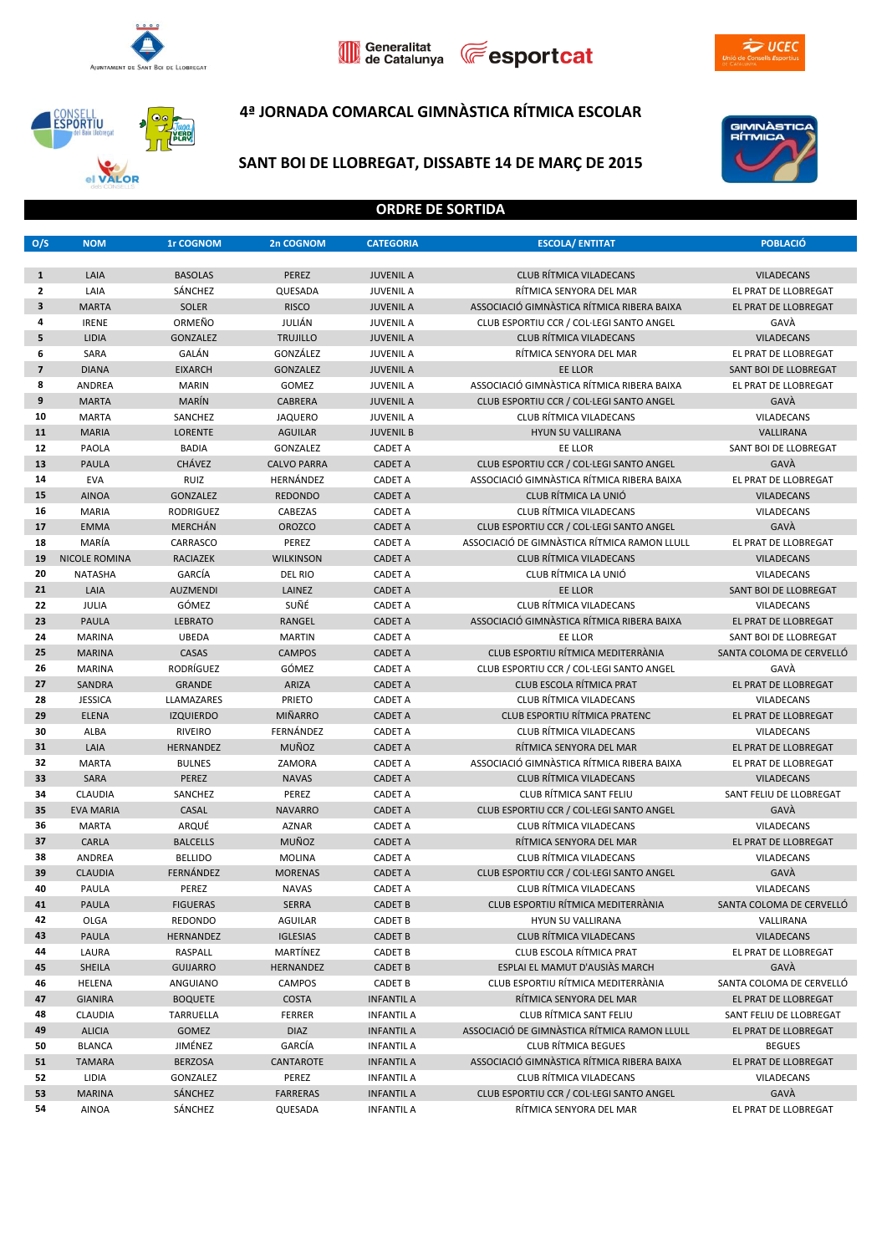







## **4ª JORNADA COMARCAL GIMNÀSTICA RÍTMICA ESCOLAR**



# **CONSELL**<br>**ESPORTIU YERD** el VALOR

# **SANT BOI DE LLOBREGAT, DISSABTE 14 DE MARÇ DE 2015**

#### **ORDRE DE SORTIDA**

| O/S            | <b>NOM</b>           | <b>1r COGNOM</b> | 2n COGNOM          | <b>CATEGORIA</b>  | <b>ESCOLA/ ENTITAT</b>                       | <b>POBLACIO</b>          |
|----------------|----------------------|------------------|--------------------|-------------------|----------------------------------------------|--------------------------|
|                |                      |                  |                    |                   |                                              |                          |
| $\mathbf{1}$   | LAIA                 | <b>BASOLAS</b>   | PEREZ              | <b>JUVENIL A</b>  | <b>CLUB RÍTMICA VILADECANS</b>               | <b>VILADECANS</b>        |
| $\mathbf{z}$   | LAIA                 | SÁNCHEZ          | QUESADA            | <b>JUVENIL A</b>  | RÍTMICA SENYORA DEL MAR                      | EL PRAT DE LLOBREGAT     |
| 3              | <b>MARTA</b>         | <b>SOLER</b>     | <b>RISCO</b>       | <b>JUVENIL A</b>  | ASSOCIACIÓ GIMNÀSTICA RÍTMICA RIBERA BAIXA   | EL PRAT DE LLOBREGAT     |
| 4              | <b>IRENE</b>         | ORMEÑO           | JULIÁN             | <b>JUVENIL A</b>  | CLUB ESPORTIU CCR / COL·LEGI SANTO ANGEL     | GAVÀ                     |
| 5              | <b>LIDIA</b>         | <b>GONZALEZ</b>  | <b>TRUJILLO</b>    | <b>JUVENIL A</b>  | <b>CLUB RÍTMICA VILADECANS</b>               | <b>VILADECANS</b>        |
| 6              | SARA                 | GALÁN            | GONZÁLEZ           | <b>JUVENIL A</b>  | RÍTMICA SENYORA DEL MAR                      | EL PRAT DE LLOBREGAT     |
| $\overline{7}$ | <b>DIANA</b>         | <b>EIXARCH</b>   | <b>GONZALEZ</b>    | <b>JUVENIL A</b>  | EE LLOR                                      | SANT BOI DE LLOBREGAT    |
| 8              | ANDREA               | <b>MARIN</b>     | <b>GOMEZ</b>       | <b>JUVENIL A</b>  | ASSOCIACIÓ GIMNÀSTICA RÍTMICA RIBERA BAIXA   | EL PRAT DE LLOBREGAT     |
| 9              | <b>MARTA</b>         | MARÍN            | <b>CABRERA</b>     | <b>JUVENIL A</b>  | CLUB ESPORTIU CCR / COL·LEGI SANTO ANGEL     | GAVÀ                     |
| 10             | <b>MARTA</b>         | SANCHEZ          | <b>JAQUERO</b>     | <b>JUVENIL A</b>  | CLUB RÍTMICA VILADECANS                      | <b>VILADECANS</b>        |
| 11             | <b>MARIA</b>         | <b>LORENTE</b>   | <b>AGUILAR</b>     | <b>JUVENIL B</b>  | <b>HYUN SU VALLIRANA</b>                     | VALLIRANA                |
| 12             | PAOLA                | <b>BADIA</b>     | GONZALEZ           | <b>CADET A</b>    | EE LLOR                                      | SANT BOI DE LLOBREGAT    |
| 13             | <b>PAULA</b>         | <b>CHÁVEZ</b>    | <b>CALVO PARRA</b> | <b>CADET A</b>    | CLUB ESPORTIU CCR / COL·LEGI SANTO ANGEL     | GAVÀ                     |
| 14             | <b>EVA</b>           | RUIZ             | HERNÁNDEZ          | <b>CADET A</b>    | ASSOCIACIÓ GIMNÀSTICA RÍTMICA RIBERA BAIXA   | EL PRAT DE LLOBREGAT     |
| 15             | <b>AINOA</b>         | GONZALEZ         | <b>REDONDO</b>     | <b>CADET A</b>    | CLUB RÍTMICA LA UNIÓ                         | <b>VILADECANS</b>        |
| 16             | <b>MARIA</b>         | <b>RODRIGUEZ</b> | CABEZAS            | <b>CADET A</b>    | CLUB RÍTMICA VILADECANS                      | VILADECANS               |
| 17             | <b>EMMA</b>          | <b>MERCHÁN</b>   | <b>OROZCO</b>      | <b>CADET A</b>    | CLUB ESPORTIU CCR / COL·LEGI SANTO ANGEL     | GAVÀ                     |
| 18             | MARÍA                | CARRASCO         | PEREZ              | <b>CADET A</b>    | ASSOCIACIÓ DE GIMNASTICA RÍTMICA RAMON LLULL | EL PRAT DE LLOBREGAT     |
| 19             | <b>NICOLE ROMINA</b> | <b>RACIAZEK</b>  | <b>WILKINSON</b>   | <b>CADET A</b>    | <b>CLUB RÍTMICA VILADECANS</b>               | <b>VILADECANS</b>        |
| 20             | <b>NATASHA</b>       | GARCÍA           | <b>DEL RIO</b>     | <b>CADET A</b>    | CLUB RÍTMICA LA UNIÓ                         | <b>VILADECANS</b>        |
| 21             | LAIA                 | <b>AUZMENDI</b>  | LAINEZ             | <b>CADET A</b>    | EE LLOR                                      | SANT BOI DE LLOBREGAT    |
| 22             | JULIA                | GÓMEZ            | SUÑÉ               | <b>CADET A</b>    | CLUB RÍTMICA VILADECANS                      | <b>VILADECANS</b>        |
| 23             | <b>PAULA</b>         | <b>LEBRATO</b>   | RANGEL             | <b>CADET A</b>    | ASSOCIACIÓ GIMNÀSTICA RÍTMICA RIBERA BAIXA   | EL PRAT DE LLOBREGAT     |
| 24             | <b>MARINA</b>        | <b>UBEDA</b>     | <b>MARTIN</b>      | <b>CADET A</b>    | EE LLOR                                      | SANT BOI DE LLOBREGAT    |
| 25             | <b>MARINA</b>        | CASAS            | <b>CAMPOS</b>      | <b>CADET A</b>    | CLUB ESPORTIU RÍTMICA MEDITERRÀNIA           | SANTA COLOMA DE CERVELLÓ |
| 26             | <b>MARINA</b>        | RODRÍGUEZ        | GÓMEZ              | <b>CADET A</b>    | CLUB ESPORTIU CCR / COL·LEGI SANTO ANGEL     | GAVÀ                     |
| 27             | <b>SANDRA</b>        | <b>GRANDE</b>    | ARIZA              | <b>CADET A</b>    | <b>CLUB ESCOLA RÍTMICA PRAT</b>              | EL PRAT DE LLOBREGAT     |
| 28             | <b>JESSICA</b>       | LLAMAZARES       | PRIETO             | <b>CADET A</b>    | <b>CLUB RÍTMICA VILADECANS</b>               | <b>VILADECANS</b>        |
| 29             | <b>ELENA</b>         | <b>IZQUIERDO</b> | <b>MIÑARRO</b>     | <b>CADET A</b>    | CLUB ESPORTIU RÍTMICA PRATENC                | EL PRAT DE LLOBREGAT     |
| 30             | ALBA                 | <b>RIVEIRO</b>   | FERNÁNDEZ          | <b>CADET A</b>    | <b>CLUB RÍTMICA VILADECANS</b>               | <b>VILADECANS</b>        |
| 31             | LAIA                 | HERNANDEZ        | <b>MUÑOZ</b>       | <b>CADET A</b>    | RÍTMICA SENYORA DEL MAR                      | EL PRAT DE LLOBREGAT     |
| 32             | <b>MARTA</b>         | <b>BULNES</b>    | ZAMORA             | <b>CADET A</b>    | ASSOCIACIÓ GIMNÀSTICA RÍTMICA RIBERA BAIXA   | EL PRAT DE LLOBREGAT     |
| 33             | SARA                 | PEREZ            | <b>NAVAS</b>       | <b>CADET A</b>    | <b>CLUB RÍTMICA VILADECANS</b>               | <b>VILADECANS</b>        |
| 34             | <b>CLAUDIA</b>       | SANCHEZ          | PEREZ              | <b>CADET A</b>    | CLUB RÍTMICA SANT FELIU                      | SANT FELIU DE LLOBREGAT  |
| 35             | <b>EVA MARIA</b>     | CASAL            | <b>NAVARRO</b>     | <b>CADET A</b>    | CLUB ESPORTIU CCR / COL·LEGI SANTO ANGEL     | GAVÀ                     |
| 36             | <b>MARTA</b>         | ARQUÉ            | <b>AZNAR</b>       | <b>CADET A</b>    | CLUB RÍTMICA VILADECANS                      | <b>VILADECANS</b>        |
| 37             | CARLA                | <b>BALCELLS</b>  | <b>MUÑOZ</b>       | <b>CADET A</b>    | RÍTMICA SENYORA DEL MAR                      | EL PRAT DE LLOBREGAT     |
| 38             | ANDREA               | <b>BELLIDO</b>   | <b>MOLINA</b>      | <b>CADET A</b>    | CLUB RÍTMICA VILADECANS                      | <b>VILADECANS</b>        |
| 39             | <b>CLAUDIA</b>       | FERNÁNDEZ        | <b>MORENAS</b>     | <b>CADET A</b>    | CLUB ESPORTIU CCR / COL·LEGI SANTO ANGEL     | GAVÀ                     |
| 40             | PAULA                | PEREZ            | <b>NAVAS</b>       | <b>CADET A</b>    | CLUB RÍTMICA VILADECANS                      | <b>VILADECANS</b>        |
| 41             | <b>PAULA</b>         | <b>FIGUERAS</b>  | <b>SERRA</b>       | <b>CADET B</b>    | CLUB ESPORTIU RÍTMICA MEDITERRÀNIA           | SANTA COLOMA DE CERVELLÓ |
| 42             | OLGA                 | REDONDO          | AGUILAR            | <b>CADET B</b>    | HYUN SU VALLIRANA                            | VALLIRANA                |
| 43             | PAULA                | HERNANDEZ        | <b>IGLESIAS</b>    | <b>CADET B</b>    | <b>CLUB RÍTMICA VILADECANS</b>               | <b>VILADECANS</b>        |
| 44             | LAURA                | RASPALL          | MARTÍNEZ           | <b>CADET B</b>    | CLUB ESCOLA RÍTMICA PRAT                     | EL PRAT DE LLOBREGAT     |
| 45             | SHEILA               | <b>GUIJARRO</b>  | HERNANDEZ          | <b>CADET B</b>    | ESPLAI EL MAMUT D'AUSIÀS MARCH               | GAVÀ                     |
| 46             | HELENA               | ANGUIANO         | CAMPOS             | <b>CADET B</b>    | CLUB ESPORTIU RÍTMICA MEDITERRÀNIA           | SANTA COLOMA DE CERVELLÓ |
| 47             | <b>GIANIRA</b>       | <b>BOQUETE</b>   | <b>COSTA</b>       | <b>INFANTIL A</b> | RÍTMICA SENYORA DEL MAR                      | EL PRAT DE LLOBREGAT     |
| 48             | <b>CLAUDIA</b>       | TARRUELLA        | <b>FERRER</b>      | <b>INFANTIL A</b> | CLUB RÍTMICA SANT FELIU                      | SANT FELIU DE LLOBREGAT  |
| 49             | <b>ALICIA</b>        | <b>GOMEZ</b>     | <b>DIAZ</b>        | <b>INFANTIL A</b> | ASSOCIACIÓ DE GIMNASTICA RÍTMICA RAMON LLULL | EL PRAT DE LLOBREGAT     |
| 50             | <b>BLANCA</b>        | JIMÉNEZ          | GARCÍA             | <b>INFANTIL A</b> | <b>CLUB RÍTMICA BEGUES</b>                   | <b>BEGUES</b>            |
| 51             | <b>TAMARA</b>        | <b>BERZOSA</b>   | CANTAROTE          | <b>INFANTIL A</b> | ASSOCIACIÓ GIMNÀSTICA RÍTMICA RIBERA BAIXA   | EL PRAT DE LLOBREGAT     |
| 52             | LIDIA                | GONZALEZ         | PEREZ              | <b>INFANTIL A</b> | CLUB RÍTMICA VILADECANS                      | VILADECANS               |
| 53             | <b>MARINA</b>        | SÁNCHEZ          | <b>FARRERAS</b>    | <b>INFANTIL A</b> | CLUB ESPORTIU CCR / COL·LEGI SANTO ANGEL     | GAVÀ                     |
| 54             | <b>AINOA</b>         | SÁNCHEZ          | QUESADA            | <b>INFANTIL A</b> | RÍTMICA SENYORA DEL MAR                      | EL PRAT DE LLOBREGAT     |